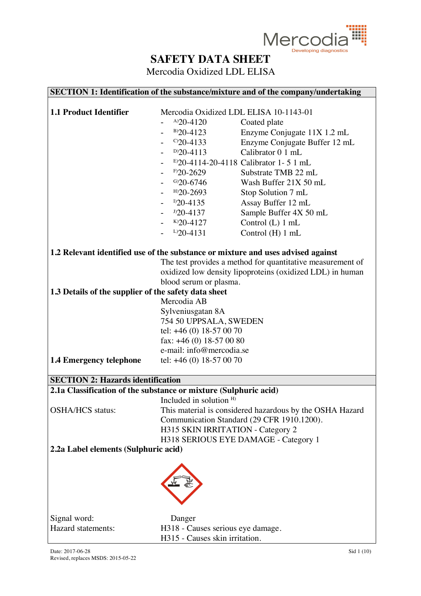

|                                                                  |                                    | SECTION 1: Identification of the substance/mixture and of the company/undertaking |
|------------------------------------------------------------------|------------------------------------|-----------------------------------------------------------------------------------|
|                                                                  |                                    |                                                                                   |
| <b>1.1 Product Identifier</b>                                    |                                    | Mercodia Oxidized LDL ELISA 10-1143-01                                            |
|                                                                  | $A$ )20-4120                       | Coated plate                                                                      |
|                                                                  | $B$ )20-4123                       | Enzyme Conjugate 11X 1.2 mL                                                       |
|                                                                  | $C$ 20-4133                        | Enzyme Conjugate Buffer 12 mL                                                     |
|                                                                  | $D$ )20-4113                       | Calibrator 0 1 mL                                                                 |
|                                                                  |                                    | E)20-4114-20-4118 Calibrator 1-51 mL                                              |
|                                                                  | $F$ 20-2629                        | Substrate TMB 22 mL                                                               |
|                                                                  | $G$ )20-6746                       | Wash Buffer 21X 50 mL                                                             |
|                                                                  | $H$ )20-2693                       | Stop Solution 7 mL                                                                |
|                                                                  | $D20-4135$                         | Assay Buffer 12 mL                                                                |
|                                                                  | $D20-4137$                         | Sample Buffer 4X 50 mL                                                            |
|                                                                  | $K$ )20-4127                       | Control (L) 1 mL                                                                  |
|                                                                  | $L$ )20-4131                       | Control (H) 1 mL                                                                  |
|                                                                  |                                    | 1.2 Relevant identified use of the substance or mixture and uses advised against  |
|                                                                  |                                    | The test provides a method for quantitative measurement of                        |
|                                                                  |                                    | oxidized low density lipoproteins (oxidized LDL) in human                         |
|                                                                  | blood serum or plasma.             |                                                                                   |
| 1.3 Details of the supplier of the safety data sheet             |                                    |                                                                                   |
|                                                                  | Mercodia AB                        |                                                                                   |
|                                                                  | Sylveniusgatan 8A                  |                                                                                   |
|                                                                  | 754 50 UPPSALA, SWEDEN             |                                                                                   |
|                                                                  | tel: +46 (0) 18-57 00 70           |                                                                                   |
|                                                                  | fax: $+46$ (0) 18-57 00 80         |                                                                                   |
|                                                                  | e-mail: info@mercodia.se           |                                                                                   |
| <b>1.4 Emergency telephone</b>                                   | tel: $+46(0)$ 18-57 00 70          |                                                                                   |
| <b>SECTION 2: Hazards identification</b>                         |                                    |                                                                                   |
| 2.1a Classification of the substance or mixture (Sulphuric acid) |                                    |                                                                                   |
|                                                                  | Included in solution <sup>H)</sup> |                                                                                   |
| <b>OSHA/HCS</b> status:                                          |                                    | This material is considered hazardous by the OSHA Hazard                          |
|                                                                  |                                    | Communication Standard (29 CFR 1910.1200).                                        |
|                                                                  |                                    | H315 SKIN IRRITATION - Category 2                                                 |
|                                                                  |                                    | H318 SERIOUS EYE DAMAGE - Category 1                                              |
| 2.2a Label elements (Sulphuric acid)                             |                                    |                                                                                   |
|                                                                  |                                    |                                                                                   |
|                                                                  |                                    |                                                                                   |
|                                                                  |                                    |                                                                                   |
|                                                                  |                                    |                                                                                   |
| Signal word:                                                     | Danger                             |                                                                                   |
| Hazard statements:                                               |                                    | H318 - Causes serious eye damage.                                                 |
|                                                                  | H315 - Causes skin irritation.     |                                                                                   |
|                                                                  |                                    |                                                                                   |
| Date: 2017-06-28                                                 |                                    | Sid 1 (10)                                                                        |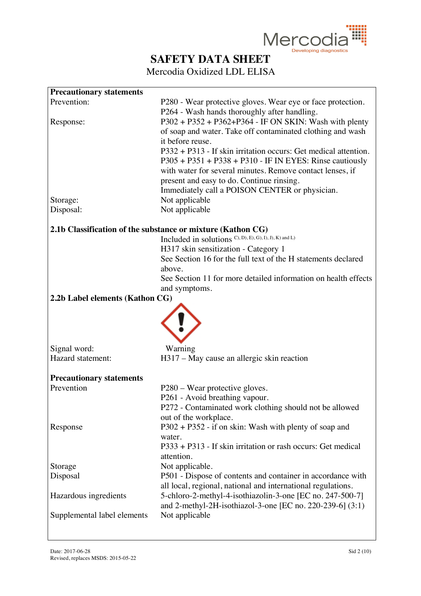

| <b>Precautionary statements</b> |                                                                        |
|---------------------------------|------------------------------------------------------------------------|
| Prevention:                     | P280 - Wear protective gloves. Wear eye or face protection.            |
|                                 | P264 - Wash hands thoroughly after handling.                           |
| Response:                       | $P302 + P352 + P362 + P364 - IF ON SKIN$ : Wash with plenty            |
|                                 | of soap and water. Take off contaminated clothing and wash             |
|                                 | it before reuse.                                                       |
|                                 | $P332 + P313$ - If skin irritation occurs: Get medical attention.      |
|                                 | $P305 + P351 + P338 + P310$ - IF IN EYES: Rinse cautiously             |
|                                 | with water for several minutes. Remove contact lenses, if              |
|                                 | present and easy to do. Continue rinsing.                              |
| Storage:                        | Immediately call a POISON CENTER or physician.<br>Not applicable       |
| Disposal:                       | Not applicable                                                         |
|                                 |                                                                        |
|                                 | 2.1b Classification of the substance or mixture (Kathon CG)            |
|                                 | Included in solutions C), D), E), G), I), J), K) and L)                |
|                                 | H317 skin sensitization - Category 1                                   |
|                                 | See Section 16 for the full text of the H statements declared          |
|                                 | above.                                                                 |
|                                 | See Section 11 for more detailed information on health effects         |
|                                 | and symptoms.                                                          |
| 2.2b Label elements (Kathon CG) |                                                                        |
|                                 |                                                                        |
|                                 |                                                                        |
|                                 |                                                                        |
| Signal word:                    | Warning                                                                |
| Hazard statement:               | H317 – May cause an allergic skin reaction                             |
|                                 |                                                                        |
| <b>Precautionary statements</b> |                                                                        |
| Prevention                      | P280 – Wear protective gloves.                                         |
|                                 | P261 - Avoid breathing vapour.                                         |
|                                 | P272 - Contaminated work clothing should not be allowed                |
|                                 | out of the workplace.                                                  |
| Response                        | $P302 + P352$ - if on skin: Wash with plenty of soap and               |
|                                 | water.<br>P333 + P313 - If skin irritation or rash occurs: Get medical |
|                                 | attention.                                                             |
| Storage                         | Not applicable.                                                        |
| Disposal                        | P501 - Dispose of contents and container in accordance with            |
|                                 | all local, regional, national and international regulations.           |
| Hazardous ingredients           | 5-chloro-2-methyl-4-isothiazolin-3-one [EC no. 247-500-7]              |
|                                 | and 2-methyl-2H-isothiazol-3-one [EC no. 220-239-6] $(3:1)$            |
| Supplemental label elements     | Not applicable                                                         |
|                                 |                                                                        |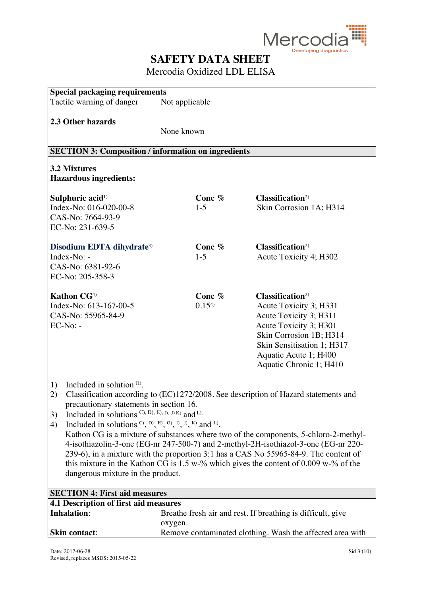

| <b>Special packaging requirements</b>                                            |                |                                                                                                                                                                             |
|----------------------------------------------------------------------------------|----------------|-----------------------------------------------------------------------------------------------------------------------------------------------------------------------------|
| Tactile warning of danger                                                        | Not applicable |                                                                                                                                                                             |
|                                                                                  |                |                                                                                                                                                                             |
| 2.3 Other hazards                                                                |                |                                                                                                                                                                             |
|                                                                                  | None known     |                                                                                                                                                                             |
|                                                                                  |                |                                                                                                                                                                             |
| <b>SECTION 3: Composition / information on ingredients</b>                       |                |                                                                                                                                                                             |
| <b>3.2 Mixtures</b><br><b>Hazardous ingredients:</b>                             |                |                                                                                                                                                                             |
| Sulphuric acid <sup>1)</sup>                                                     | Conc $%$       | Classification <sup>2</sup>                                                                                                                                                 |
| Index-No: 016-020-00-8                                                           | $1-5$          | Skin Corrosion 1A; H314                                                                                                                                                     |
| CAS-No: 7664-93-9                                                                |                |                                                                                                                                                                             |
| EC-No: 231-639-5                                                                 |                |                                                                                                                                                                             |
|                                                                                  |                |                                                                                                                                                                             |
| Disodium EDTA dihydrate <sup>3)</sup>                                            | Conc $%$       | Classification <sup>2</sup>                                                                                                                                                 |
| Index-No: -                                                                      | $1-5$          | Acute Toxicity 4; H302                                                                                                                                                      |
| CAS-No: 6381-92-6                                                                |                |                                                                                                                                                                             |
| EC-No: 205-358-3                                                                 |                |                                                                                                                                                                             |
| Kathon CG <sup>4)</sup>                                                          | Conc %         | Classification <sup>2)</sup>                                                                                                                                                |
| Index-No: 613-167-00-5                                                           | 0.154          | Acute Toxicity 3; H331                                                                                                                                                      |
| CAS-No: 55965-84-9                                                               |                | Acute Toxicity 3; H311                                                                                                                                                      |
| $EC-No: -$                                                                       |                | Acute Toxicity 3; H301                                                                                                                                                      |
|                                                                                  |                | Skin Corrosion 1B; H314                                                                                                                                                     |
|                                                                                  |                | Skin Sensitisation 1; H317                                                                                                                                                  |
|                                                                                  |                | Aquatic Acute 1; H400                                                                                                                                                       |
|                                                                                  |                | Aquatic Chronic 1; H410                                                                                                                                                     |
|                                                                                  |                |                                                                                                                                                                             |
| Included in solution $H$ .<br>1)                                                 |                |                                                                                                                                                                             |
| 2)                                                                               |                | Classification according to (EC)1272/2008. See description of Hazard statements and                                                                                         |
| precautionary statements in section 16.                                          |                |                                                                                                                                                                             |
| Included in solutions $C$ , $D$ , $E$ , $D$ , $J$ , $K$ ) and $L$ ).<br>3)       |                |                                                                                                                                                                             |
| Included in solutions $C$ , $D$ , $E$ , $G$ , $D$ , $D$ , $K$ ) and $L$ ).<br>4) |                |                                                                                                                                                                             |
|                                                                                  |                | Kathon CG is a mixture of substances where two of the components, 5-chloro-2-methyl-                                                                                        |
|                                                                                  |                | 4-isothiazolin-3-one (EG-nr 247-500-7) and 2-methyl-2H-isothiazol-3-one (EG-nr 220-<br>239-6), in a mixture with the proportion 3:1 has a CAS No 55965-84-9. The content of |
|                                                                                  |                | this mixture in the Kathon CG is $1.5$ w-% which gives the content of 0.009 w-% of the                                                                                      |
| dangerous mixture in the product.                                                |                |                                                                                                                                                                             |
|                                                                                  |                |                                                                                                                                                                             |
| <b>SECTION 4: First aid measures</b>                                             |                |                                                                                                                                                                             |
| 4.1 Description of first aid measures                                            |                |                                                                                                                                                                             |
| <b>Inhalation:</b>                                                               |                | Breathe fresh air and rest. If breathing is difficult, give                                                                                                                 |
|                                                                                  | oxygen.        |                                                                                                                                                                             |
| <b>Skin contact:</b>                                                             |                | Remove contaminated clothing. Wash the affected area with                                                                                                                   |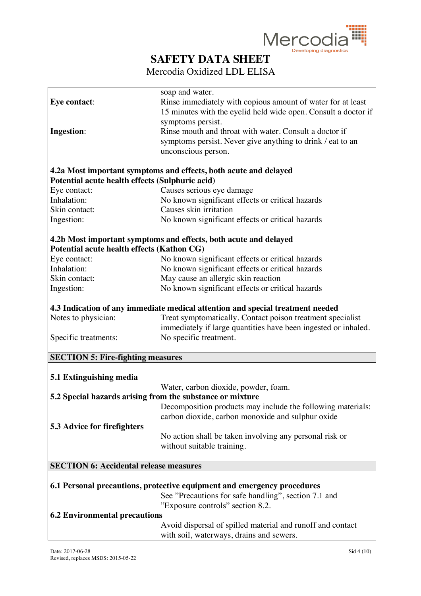

 $\overline{\mathbf{u}}$ 

## **SAFETY DATA SHEET**

Mercodia Oxidized LDL ELISA

| <b>Eye contact:</b>                             |                                                                                |
|-------------------------------------------------|--------------------------------------------------------------------------------|
|                                                 | Rinse immediately with copious amount of water for at least                    |
|                                                 | 15 minutes with the eyelid held wide open. Consult a doctor if                 |
|                                                 | symptoms persist.                                                              |
| <b>Ingestion:</b>                               | Rinse mouth and throat with water. Consult a doctor if                         |
|                                                 | symptoms persist. Never give anything to drink / eat to an                     |
|                                                 | unconscious person.                                                            |
|                                                 |                                                                                |
|                                                 | 4.2a Most important symptoms and effects, both acute and delayed               |
| Potential acute health effects (Sulphuric acid) |                                                                                |
| Eye contact:                                    | Causes serious eye damage                                                      |
| Inhalation:                                     | No known significant effects or critical hazards                               |
| Skin contact:                                   | Causes skin irritation                                                         |
| Ingestion:                                      | No known significant effects or critical hazards                               |
|                                                 | 4.2b Most important symptoms and effects, both acute and delayed               |
| Potential acute health effects (Kathon CG)      |                                                                                |
| Eye contact:                                    | No known significant effects or critical hazards                               |
| Inhalation:                                     | No known significant effects or critical hazards                               |
| Skin contact:                                   | May cause an allergic skin reaction                                            |
| Ingestion:                                      | No known significant effects or critical hazards                               |
|                                                 |                                                                                |
|                                                 | 4.3 Indication of any immediate medical attention and special treatment needed |
| Notes to physician:                             | Treat symptomatically. Contact poison treatment specialist                     |
|                                                 | immediately if large quantities have been ingested or inhaled.                 |
| Specific treatments:                            | No specific treatment.                                                         |
|                                                 |                                                                                |
|                                                 |                                                                                |
|                                                 |                                                                                |
| <b>SECTION 5: Fire-fighting measures</b>        |                                                                                |
|                                                 |                                                                                |
| 5.1 Extinguishing media                         |                                                                                |
|                                                 | Water, carbon dioxide, powder, foam.                                           |
|                                                 | 5.2 Special hazards arising from the substance or mixture                      |
|                                                 | Decomposition products may include the following materials:                    |
|                                                 | carbon dioxide, carbon monoxide and sulphur oxide                              |
| 5.3 Advice for firefighters                     |                                                                                |
|                                                 | No action shall be taken involving any personal risk or                        |
|                                                 | without suitable training.                                                     |
|                                                 |                                                                                |
| <b>SECTION 6: Accidental release measures</b>   |                                                                                |
|                                                 |                                                                                |
|                                                 | 6.1 Personal precautions, protective equipment and emergency procedures        |
|                                                 | See "Precautions for safe handling", section 7.1 and                           |
|                                                 | "Exposure controls" section 8.2.                                               |
| <b>6.2 Environmental precautions</b>            |                                                                                |
|                                                 | Avoid dispersal of spilled material and runoff and contact                     |
|                                                 | with soil, waterways, drains and sewers.                                       |

 $\mathsf{r}$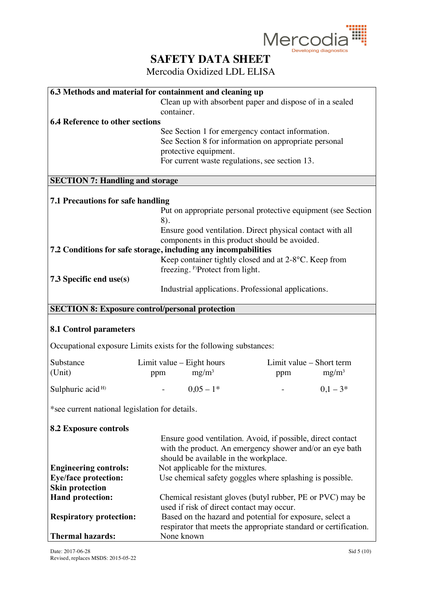

| 6.3 Methods and material for containment and cleaning up          |                           |                                             |                                                               |          |
|-------------------------------------------------------------------|---------------------------|---------------------------------------------|---------------------------------------------------------------|----------|
|                                                                   |                           |                                             | Clean up with absorbent paper and dispose of in a sealed      |          |
|                                                                   | container.                |                                             |                                                               |          |
| <b>6.4 Reference to other sections</b>                            |                           |                                             |                                                               |          |
|                                                                   |                           |                                             | See Section 1 for emergency contact information.              |          |
|                                                                   |                           |                                             | See Section 8 for information on appropriate personal         |          |
|                                                                   |                           | protective equipment.                       |                                                               |          |
|                                                                   |                           |                                             | For current waste regulations, see section 13.                |          |
|                                                                   |                           |                                             |                                                               |          |
|                                                                   |                           |                                             |                                                               |          |
| <b>SECTION 7: Handling and storage</b>                            |                           |                                             |                                                               |          |
| <b>7.1 Precautions for safe handling</b>                          |                           |                                             |                                                               |          |
|                                                                   |                           |                                             | Put on appropriate personal protective equipment (see Section |          |
|                                                                   | 8).                       |                                             |                                                               |          |
|                                                                   |                           |                                             | Ensure good ventilation. Direct physical contact with all     |          |
|                                                                   |                           |                                             | components in this product should be avoided.                 |          |
| 7.2 Conditions for safe storage, including any incompabilities    |                           |                                             |                                                               |          |
|                                                                   |                           |                                             | Keep container tightly closed and at 2-8°C. Keep from         |          |
|                                                                   |                           |                                             |                                                               |          |
|                                                                   |                           | freezing. <sup>F)</sup> Protect from light. |                                                               |          |
| 7.3 Specific end use(s)                                           |                           |                                             |                                                               |          |
|                                                                   |                           |                                             | Industrial applications. Professional applications.           |          |
|                                                                   |                           |                                             |                                                               |          |
| <b>SECTION 8: Exposure control/personal protection</b>            |                           |                                             |                                                               |          |
|                                                                   |                           |                                             |                                                               |          |
| <b>8.1 Control parameters</b>                                     |                           |                                             |                                                               |          |
|                                                                   |                           |                                             |                                                               |          |
| Occupational exposure Limits exists for the following substances: |                           |                                             |                                                               |          |
| Substance                                                         | Limit value – Eight hours |                                             | Limit value – Short term                                      |          |
|                                                                   |                           |                                             |                                                               |          |
| (Unit)                                                            | ppm                       | $mg/m^3$                                    | ppm                                                           | $mg/m^3$ |
| Sulphuric acid <sup>H)</sup>                                      |                           | $0,05-1*$                                   |                                                               | $0,1-3*$ |
| *see current national legislation for details.                    |                           |                                             |                                                               |          |
|                                                                   |                           |                                             |                                                               |          |
| <b>8.2 Exposure controls</b>                                      |                           |                                             |                                                               |          |
|                                                                   |                           |                                             | Ensure good ventilation. Avoid, if possible, direct contact   |          |
|                                                                   |                           |                                             | with the product. An emergency shower and/or an eye bath      |          |
|                                                                   |                           | should be available in the workplace.       |                                                               |          |
| <b>Engineering controls:</b>                                      |                           | Not applicable for the mixtures.            |                                                               |          |
| <b>Eye/face protection:</b>                                       |                           |                                             | Use chemical safety goggles where splashing is possible.      |          |
| <b>Skin protection</b>                                            |                           |                                             |                                                               |          |
|                                                                   |                           |                                             |                                                               |          |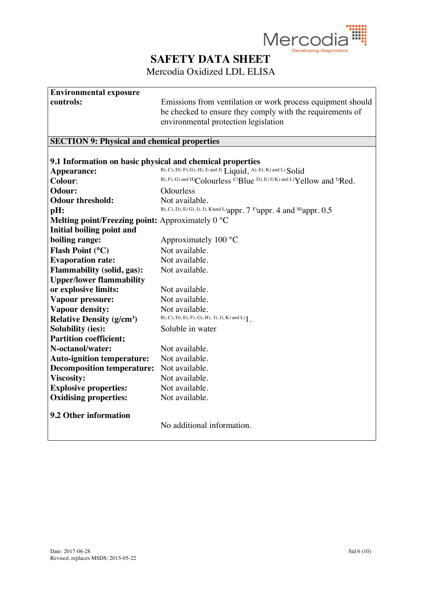

### Mercodia Oxidized LDL ELISA

# **Environmental exposure**

**controls:** Emissions from ventilation or work process equipment should be checked to ensure they comply with the requirements of environmental protection legislation

#### **SECTION 9: Physical and chemical properties**

| B), C), D), F), G), H), I) and J) Liquid, A), E), K) and L) Solid<br>Appearance:<br>B), F), G) and H)Colourless C)Blue D), E) J) K) and L)Yellow and <sup>D</sup> Red.<br>Colour:<br>Odour:<br>Odourless<br><b>Odour threshold:</b><br>Not available.<br>B), C), D), E) G), I), J), K)and L) appr. 7 F) appr. 4 and H) appr. 0.5<br>pH:<br><b>Melting point/Freezing point:</b> Approximately $0^{\circ}C$<br>Initial boiling point and<br>boiling range:<br>Approximately $100 °C$<br>Flash Point (°C)<br>Not available.<br><b>Evaporation rate:</b><br>Not available.<br><b>Flammability (solid, gas):</b><br>Not available.<br><b>Upper/lower flammability</b><br>or explosive limits:<br>Not available.<br>Not available.<br>Vapour pressure:<br><b>Vapour density:</b><br>Not available.<br>$B$ , C), D), E), F), G), H), I), J), K) and L) $1$ .<br><b>Relative Density (g/cm<sup>3</sup>)</b><br><b>Solubility (ies):</b><br>Soluble in water<br><b>Partition coefficient;</b><br>N-octanol/water:<br>Not available.<br>Not available.<br><b>Auto-ignition temperature:</b><br><b>Decomposition temperature:</b><br>Not available.<br><b>Viscosity:</b><br>Not available. | 9.1 Information on basic physical and chemical properties |  |
|----------------------------------------------------------------------------------------------------------------------------------------------------------------------------------------------------------------------------------------------------------------------------------------------------------------------------------------------------------------------------------------------------------------------------------------------------------------------------------------------------------------------------------------------------------------------------------------------------------------------------------------------------------------------------------------------------------------------------------------------------------------------------------------------------------------------------------------------------------------------------------------------------------------------------------------------------------------------------------------------------------------------------------------------------------------------------------------------------------------------------------------------------------------------------------|-----------------------------------------------------------|--|
|                                                                                                                                                                                                                                                                                                                                                                                                                                                                                                                                                                                                                                                                                                                                                                                                                                                                                                                                                                                                                                                                                                                                                                                  |                                                           |  |
|                                                                                                                                                                                                                                                                                                                                                                                                                                                                                                                                                                                                                                                                                                                                                                                                                                                                                                                                                                                                                                                                                                                                                                                  |                                                           |  |
|                                                                                                                                                                                                                                                                                                                                                                                                                                                                                                                                                                                                                                                                                                                                                                                                                                                                                                                                                                                                                                                                                                                                                                                  |                                                           |  |
|                                                                                                                                                                                                                                                                                                                                                                                                                                                                                                                                                                                                                                                                                                                                                                                                                                                                                                                                                                                                                                                                                                                                                                                  |                                                           |  |
|                                                                                                                                                                                                                                                                                                                                                                                                                                                                                                                                                                                                                                                                                                                                                                                                                                                                                                                                                                                                                                                                                                                                                                                  |                                                           |  |
|                                                                                                                                                                                                                                                                                                                                                                                                                                                                                                                                                                                                                                                                                                                                                                                                                                                                                                                                                                                                                                                                                                                                                                                  |                                                           |  |
|                                                                                                                                                                                                                                                                                                                                                                                                                                                                                                                                                                                                                                                                                                                                                                                                                                                                                                                                                                                                                                                                                                                                                                                  |                                                           |  |
|                                                                                                                                                                                                                                                                                                                                                                                                                                                                                                                                                                                                                                                                                                                                                                                                                                                                                                                                                                                                                                                                                                                                                                                  |                                                           |  |
|                                                                                                                                                                                                                                                                                                                                                                                                                                                                                                                                                                                                                                                                                                                                                                                                                                                                                                                                                                                                                                                                                                                                                                                  |                                                           |  |
|                                                                                                                                                                                                                                                                                                                                                                                                                                                                                                                                                                                                                                                                                                                                                                                                                                                                                                                                                                                                                                                                                                                                                                                  |                                                           |  |
|                                                                                                                                                                                                                                                                                                                                                                                                                                                                                                                                                                                                                                                                                                                                                                                                                                                                                                                                                                                                                                                                                                                                                                                  |                                                           |  |
|                                                                                                                                                                                                                                                                                                                                                                                                                                                                                                                                                                                                                                                                                                                                                                                                                                                                                                                                                                                                                                                                                                                                                                                  |                                                           |  |
|                                                                                                                                                                                                                                                                                                                                                                                                                                                                                                                                                                                                                                                                                                                                                                                                                                                                                                                                                                                                                                                                                                                                                                                  |                                                           |  |
|                                                                                                                                                                                                                                                                                                                                                                                                                                                                                                                                                                                                                                                                                                                                                                                                                                                                                                                                                                                                                                                                                                                                                                                  |                                                           |  |
|                                                                                                                                                                                                                                                                                                                                                                                                                                                                                                                                                                                                                                                                                                                                                                                                                                                                                                                                                                                                                                                                                                                                                                                  |                                                           |  |
|                                                                                                                                                                                                                                                                                                                                                                                                                                                                                                                                                                                                                                                                                                                                                                                                                                                                                                                                                                                                                                                                                                                                                                                  |                                                           |  |
|                                                                                                                                                                                                                                                                                                                                                                                                                                                                                                                                                                                                                                                                                                                                                                                                                                                                                                                                                                                                                                                                                                                                                                                  |                                                           |  |
|                                                                                                                                                                                                                                                                                                                                                                                                                                                                                                                                                                                                                                                                                                                                                                                                                                                                                                                                                                                                                                                                                                                                                                                  |                                                           |  |
|                                                                                                                                                                                                                                                                                                                                                                                                                                                                                                                                                                                                                                                                                                                                                                                                                                                                                                                                                                                                                                                                                                                                                                                  |                                                           |  |
|                                                                                                                                                                                                                                                                                                                                                                                                                                                                                                                                                                                                                                                                                                                                                                                                                                                                                                                                                                                                                                                                                                                                                                                  |                                                           |  |
|                                                                                                                                                                                                                                                                                                                                                                                                                                                                                                                                                                                                                                                                                                                                                                                                                                                                                                                                                                                                                                                                                                                                                                                  |                                                           |  |
|                                                                                                                                                                                                                                                                                                                                                                                                                                                                                                                                                                                                                                                                                                                                                                                                                                                                                                                                                                                                                                                                                                                                                                                  |                                                           |  |
| <b>Explosive properties:</b><br>Not available.                                                                                                                                                                                                                                                                                                                                                                                                                                                                                                                                                                                                                                                                                                                                                                                                                                                                                                                                                                                                                                                                                                                                   |                                                           |  |
| <b>Oxidising properties:</b><br>Not available.                                                                                                                                                                                                                                                                                                                                                                                                                                                                                                                                                                                                                                                                                                                                                                                                                                                                                                                                                                                                                                                                                                                                   |                                                           |  |
| 9.2 Other information<br>No additional information.                                                                                                                                                                                                                                                                                                                                                                                                                                                                                                                                                                                                                                                                                                                                                                                                                                                                                                                                                                                                                                                                                                                              |                                                           |  |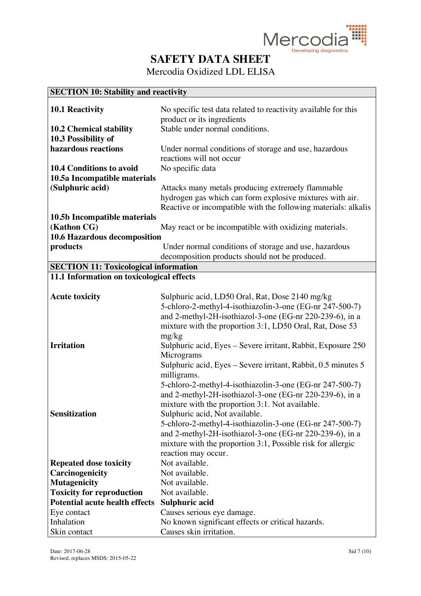

Mercodia Oxidized LDL ELISA

### **SECTION 10: Stability and reactivity**

| <b>10.1 Reactivity</b>                       | No specific test data related to reactivity available for this |
|----------------------------------------------|----------------------------------------------------------------|
|                                              | product or its ingredients                                     |
| <b>10.2 Chemical stability</b>               | Stable under normal conditions.                                |
| 10.3 Possibility of                          |                                                                |
| hazardous reactions                          | Under normal conditions of storage and use, hazardous          |
|                                              |                                                                |
|                                              | reactions will not occur                                       |
| <b>10.4 Conditions to avoid</b>              | No specific data                                               |
| 10.5a Incompatible materials                 |                                                                |
| (Sulphuric acid)                             | Attacks many metals producing extremely flammable              |
|                                              | hydrogen gas which can form explosive mixtures with air.       |
|                                              | Reactive or incompatible with the following materials: alkalis |
| 10.5b Incompatible materials                 |                                                                |
| (Kathon CG)                                  | May react or be incompatible with oxidizing materials.         |
| <b>10.6 Hazardous decomposition</b>          |                                                                |
| products                                     | Under normal conditions of storage and use, hazardous          |
|                                              | decomposition products should not be produced.                 |
|                                              |                                                                |
| <b>SECTION 11: Toxicological information</b> |                                                                |
| 11.1 Information on toxicological effects    |                                                                |
|                                              |                                                                |
| <b>Acute toxicity</b>                        | Sulphuric acid, LD50 Oral, Rat, Dose 2140 mg/kg                |
|                                              | 5-chloro-2-methyl-4-isothiazolin-3-one (EG-nr 247-500-7)       |
|                                              | and 2-methyl-2H-isothiazol-3-one (EG-nr 220-239-6), in a       |
|                                              | mixture with the proportion 3:1, LD50 Oral, Rat, Dose 53       |
|                                              | mg/kg                                                          |
| <b>Irritation</b>                            | Sulphuric acid, Eyes – Severe irritant, Rabbit, Exposure 250   |
|                                              | Micrograms                                                     |
|                                              |                                                                |
|                                              | Sulphuric acid, Eyes – Severe irritant, Rabbit, 0.5 minutes 5  |
|                                              | milligrams.                                                    |
|                                              | 5-chloro-2-methyl-4-isothiazolin-3-one (EG-nr 247-500-7)       |
|                                              | and 2-methyl-2H-isothiazol-3-one (EG-nr 220-239-6), in a       |
|                                              | mixture with the proportion 3:1. Not available.                |
| <b>Sensitization</b>                         | Sulphuric acid, Not available.                                 |
|                                              | 5-chloro-2-methyl-4-isothiazolin-3-one (EG-nr 247-500-7)       |
|                                              | and 2-methyl-2H-isothiazol-3-one (EG-nr 220-239-6), in a       |
|                                              | mixture with the proportion 3:1, Possible risk for allergic    |
|                                              | reaction may occur.                                            |
|                                              | Not available.                                                 |
| <b>Repeated dose toxicity</b>                |                                                                |
| Carcinogenicity                              | Not available.                                                 |
| <b>Mutagenicity</b>                          | Not available.                                                 |
| <b>Toxicity for reproduction</b>             | Not available.                                                 |
| <b>Potential acute health effects</b>        | Sulphuric acid                                                 |
| Eye contact                                  | Causes serious eye damage.                                     |
| Inhalation                                   | No known significant effects or critical hazards.              |
| Skin contact                                 | Causes skin irritation.                                        |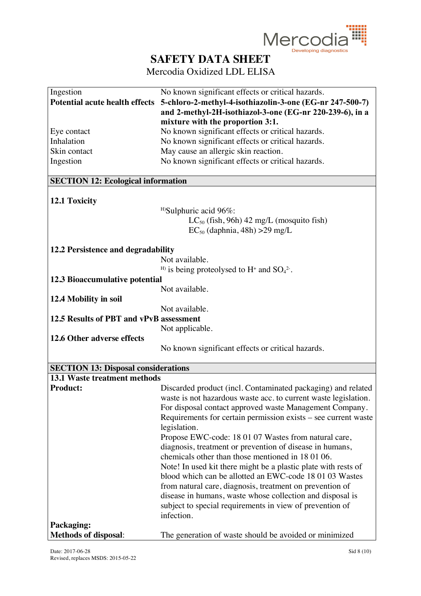

| Ingestion                                  | No known significant effects or critical hazards.                   |
|--------------------------------------------|---------------------------------------------------------------------|
| <b>Potential acute health effects</b>      | 5-chloro-2-methyl-4-isothiazolin-3-one (EG-nr 247-500-7)            |
|                                            | and 2-methyl-2H-isothiazol-3-one (EG-nr 220-239-6), in a            |
|                                            | mixture with the proportion 3:1.                                    |
| Eye contact                                | No known significant effects or critical hazards.                   |
| Inhalation                                 | No known significant effects or critical hazards.                   |
| Skin contact                               |                                                                     |
|                                            | May cause an allergic skin reaction.                                |
| Ingestion                                  | No known significant effects or critical hazards.                   |
| <b>SECTION 12: Ecological information</b>  |                                                                     |
|                                            |                                                                     |
| 12.1 Toxicity                              |                                                                     |
|                                            | <sup>H)</sup> Sulphuric acid 96%:                                   |
|                                            | $LC_{50}$ (fish, 96h) 42 mg/L (mosquito fish)                       |
|                                            |                                                                     |
|                                            | $EC_{50}$ (daphnia, 48h) > 29 mg/L                                  |
| 12.2 Persistence and degradability         |                                                                     |
|                                            | Not available.                                                      |
|                                            | <sup>H)</sup> is being proteolysed to H <sup>+</sup> and $SO_4^2$ . |
|                                            |                                                                     |
| 12.3 Bioaccumulative potential             |                                                                     |
|                                            | Not available.                                                      |
| 12.4 Mobility in soil                      |                                                                     |
|                                            | Not available.                                                      |
| 12.5 Results of PBT and vPvB assessment    |                                                                     |
|                                            | Not applicable.                                                     |
| 12.6 Other adverse effects                 |                                                                     |
|                                            | No known significant effects or critical hazards.                   |
|                                            |                                                                     |
| <b>SECTION 13: Disposal considerations</b> |                                                                     |
| <b>13.1 Waste treatment methods</b>        |                                                                     |
| <b>Product:</b>                            | Discarded product (incl. Contaminated packaging) and related        |
|                                            | waste is not hazardous waste acc. to current waste legislation.     |
|                                            | For disposal contact approved waste Management Company.             |
|                                            | Requirements for certain permission exists – see current waste      |
|                                            | legislation.                                                        |
|                                            | Propose EWC-code: 18 01 07 Wastes from natural care,                |
|                                            | diagnosis, treatment or prevention of disease in humans,            |
|                                            | chemicals other than those mentioned in 180106.                     |
|                                            | Note! In used kit there might be a plastic plate with rests of      |
|                                            | blood which can be allotted an EWC-code 18 01 03 Wastes             |
|                                            | from natural care, diagnosis, treatment on prevention of            |
|                                            | disease in humans, waste whose collection and disposal is           |
|                                            | subject to special requirements in view of prevention of            |
|                                            | infection.                                                          |
|                                            |                                                                     |
| Packaging:                                 |                                                                     |
| <b>Methods of disposal:</b>                | The generation of waste should be avoided or minimized              |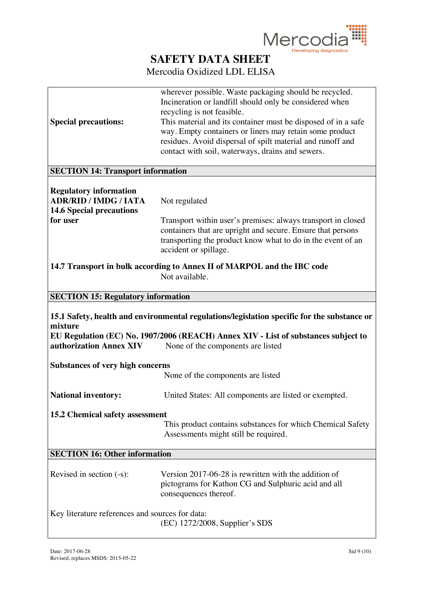

|                                                 | wherever possible. Waste packaging should be recycled.<br>Incineration or landfill should only be considered when       |
|-------------------------------------------------|-------------------------------------------------------------------------------------------------------------------------|
|                                                 | recycling is not feasible.                                                                                              |
| <b>Special precautions:</b>                     | This material and its container must be disposed of in a safe                                                           |
|                                                 | way. Empty containers or liners may retain some product                                                                 |
|                                                 | residues. Avoid dispersal of spilt material and runoff and                                                              |
|                                                 | contact with soil, waterways, drains and sewers.                                                                        |
|                                                 |                                                                                                                         |
| <b>SECTION 14: Transport information</b>        |                                                                                                                         |
| <b>Regulatory information</b>                   |                                                                                                                         |
| <b>ADR/RID / IMDG / IATA</b>                    | Not regulated                                                                                                           |
| <b>14.6 Special precautions</b>                 |                                                                                                                         |
| for user                                        | Transport within user's premises: always transport in closed                                                            |
|                                                 | containers that are upright and secure. Ensure that persons                                                             |
|                                                 | transporting the product know what to do in the event of an                                                             |
|                                                 | accident or spillage.                                                                                                   |
|                                                 |                                                                                                                         |
|                                                 | 14.7 Transport in bulk according to Annex II of MARPOL and the IBC code                                                 |
|                                                 | Not available.                                                                                                          |
|                                                 |                                                                                                                         |
|                                                 |                                                                                                                         |
| <b>SECTION 15: Regulatory information</b>       |                                                                                                                         |
|                                                 | 15.1 Safety, health and environmental regulations/legislation specific for the substance or                             |
| mixture                                         |                                                                                                                         |
| authorization Annex XIV                         | EU Regulation (EC) No. 1907/2006 (REACH) Annex XIV - List of substances subject to<br>None of the components are listed |
| <b>Substances of very high concerns</b>         |                                                                                                                         |
|                                                 | None of the components are listed                                                                                       |
| <b>National inventory:</b>                      | United States: All components are listed or exempted.                                                                   |
|                                                 |                                                                                                                         |
| 15.2 Chemical safety assessment                 |                                                                                                                         |
|                                                 | This product contains substances for which Chemical Safety                                                              |
|                                                 | Assessments might still be required.                                                                                    |
|                                                 |                                                                                                                         |
| <b>SECTION 16: Other information</b>            |                                                                                                                         |
|                                                 |                                                                                                                         |
| Revised in section $(-s)$ :                     | Version 2017-06-28 is rewritten with the addition of                                                                    |
|                                                 | pictograms for Kathon CG and Sulphuric acid and all                                                                     |
|                                                 | consequences thereof.                                                                                                   |
| Key literature references and sources for data: |                                                                                                                         |